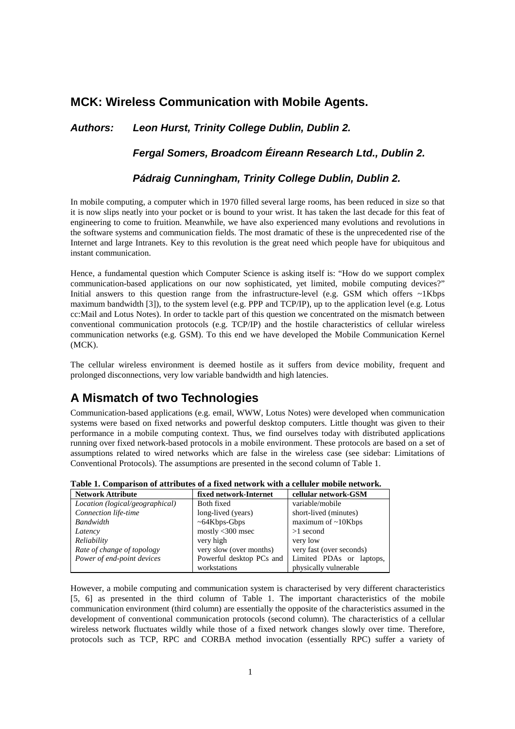# **MCK: Wireless Communication with Mobile Agents.**

## *Authors: Leon Hurst, Trinity College Dublin, Dublin 2.*

## *Fergal Somers, Broadcom Éireann Research Ltd., Dublin 2.*

## *Pádraig Cunningham, Trinity College Dublin, Dublin 2.*

In mobile computing, a computer which in 1970 filled several large rooms, has been reduced in size so that it is now slips neatly into your pocket or is bound to your wrist. It has taken the last decade for this feat of engineering to come to fruition. Meanwhile, we have also experienced many evolutions and revolutions in the software systems and communication fields. The most dramatic of these is the unprecedented rise of the Internet and large Intranets. Key to this revolution is the great need which people have for ubiquitous and instant communication.

Hence, a fundamental question which Computer Science is asking itself is: "How do we support complex communication-based applications on our now sophisticated, yet limited, mobile computing devices?" Initial answers to this question range from the infrastructure-level (e.g. GSM which offers  $\sim$ 1Kbps maximum bandwidth [3]), to the system level (e.g. PPP and TCP/IP), up to the application level (e.g. Lotus cc:Mail and Lotus Notes). In order to tackle part of this question we concentrated on the mismatch between conventional communication protocols (e.g. TCP/IP) and the hostile characteristics of cellular wireless communication networks (e.g. GSM). To this end we have developed the Mobile Communication Kernel (MCK).

The cellular wireless environment is deemed hostile as it suffers from device mobility, frequent and prolonged disconnections, very low variable bandwidth and high latencies.

# **A Mismatch of two Technologies**

Communication-based applications (e.g. email, WWW, Lotus Notes) were developed when communication systems were based on fixed networks and powerful desktop computers. Little thought was given to their performance in a mobile computing context. Thus, we find ourselves today with distributed applications running over fixed network-based protocols in a mobile environment. These protocols are based on a set of assumptions related to wired networks which are false in the wireless case (see sidebar: Limitations of Conventional Protocols). The assumptions are presented in the second column of Table 1.

| <b>Network Attribute</b>        | fixed network-Internet   | cellular network-GSM     |  |
|---------------------------------|--------------------------|--------------------------|--|
| Location (logical/geographical) | Both fixed               | variable/mobile          |  |
| Connection life-time            | long-lived (years)       | short-lived (minutes)    |  |
| Bandwidth                       | $~64$ Kbps-Gbps          | maximum of $\sim$ 10Kbps |  |
| Latency                         | mostly <300 msec         | $>1$ second              |  |
| Reliability                     | very high                | very low                 |  |
| Rate of change of topology      | very slow (over months)  | very fast (over seconds) |  |
| Power of end-point devices      | Powerful desktop PCs and | Limited PDAs or laptops, |  |
|                                 | workstations             | physically vulnerable    |  |

**Table 1. Comparison of attributes of a fixed network with a celluler mobile network.**

However, a mobile computing and communication system is characterised by very different characteristics [5, 6] as presented in the third column of Table 1. The important characteristics of the mobile communication environment (third column) are essentially the opposite of the characteristics assumed in the development of conventional communication protocols (second column). The characteristics of a cellular wireless network fluctuates wildly while those of a fixed network changes slowly over time. Therefore, protocols such as TCP, RPC and CORBA method invocation (essentially RPC) suffer a variety of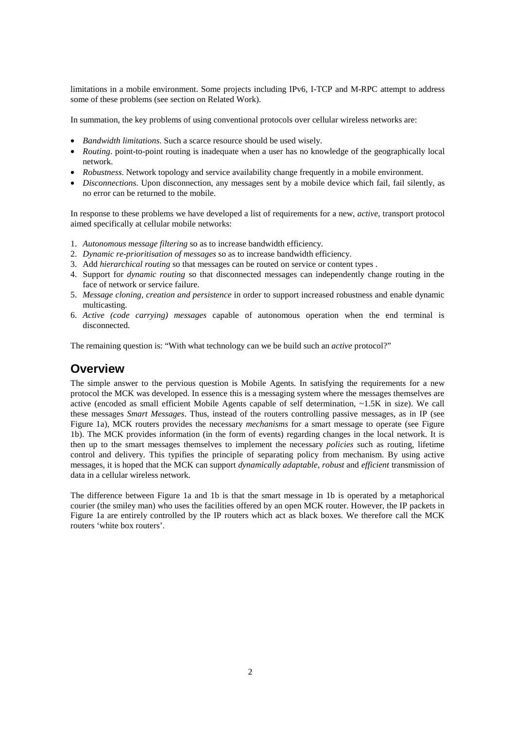limitations in a mobile environment. Some projects including IPv6, I-TCP and M-RPC attempt to address some of these problems (see section on Related Work).

In summation, the key problems of using conventional protocols over cellular wireless networks are:

- *Bandwidth limitations*. Such a scarce resource should be used wisely.
- *Routing*. point-to-point routing is inadequate when a user has no knowledge of the geographically local network.
- *Robustness*. Network topology and service availability change frequently in a mobile environment.
- *Disconnections*. Upon disconnection, any messages sent by a mobile device which fail, fail silently, as no error can be returned to the mobile.

In response to these problems we have developed a list of requirements for a new, *active*, transport protocol aimed specifically at cellular mobile networks:

- 1. *Autonomous message filtering* so as to increase bandwidth efficiency.
- 2. *Dynamic re-prioritisation of messages* so as to increase bandwidth efficiency.
- 3. Add *hierarchical routing* so that messages can be routed on service or content types .
- 4. Support for *dynamic routing* so that disconnected messages can independently change routing in the face of network or service failure.
- 5. *Message cloning, creation and persistence* in order to support increased robustness and enable dynamic multicasting.
- 6. *Active (code carrying) messages* capable of autonomous operation when the end terminal is disconnected.

The remaining question is: "With what technology can we be build such an *active* protocol?"

# **Overview**

The simple answer to the pervious question is Mobile Agents. In satisfying the requirements for a new protocol the MCK was developed. In essence this is a messaging system where the messages themselves are active (encoded as small efficient Mobile Agents capable of self determination, ~1.5K in size). We call these messages *Smart Messages*. Thus, instead of the routers controlling passive messages, as in IP (see Figure 1a), MCK routers provides the necessary *mechanisms* for a smart message to operate (see Figure 1b). The MCK provides information (in the form of events) regarding changes in the local network. It is then up to the smart messages themselves to implement the necessary *policies* such as routing, lifetime control and delivery. This typifies the principle of separating policy from mechanism. By using active messages, it is hoped that the MCK can support *dynamically adaptable*, *robust* and *efficient* transmission of data in a cellular wireless network.

The difference between Figure 1a and 1b is that the smart message in 1b is operated by a metaphorical courier (the smiley man) who uses the facilities offered by an open MCK router. However, the IP packets in Figure 1a are entirely controlled by the IP routers which act as black boxes. We therefore call the MCK routers 'white box routers'.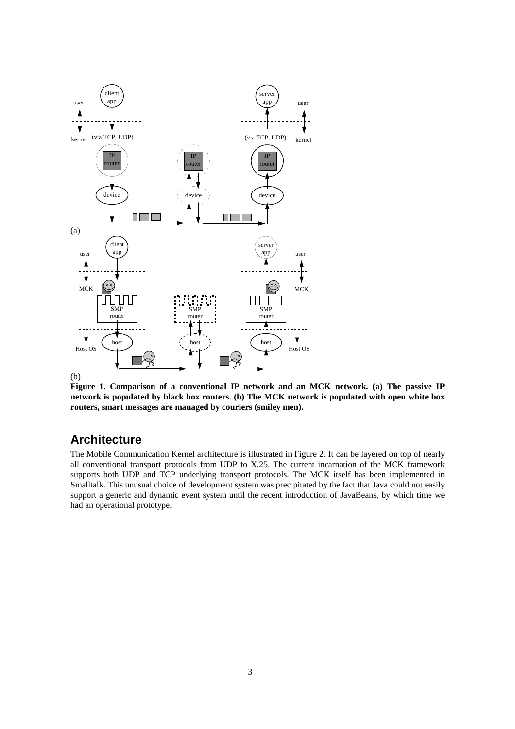

(b)

**Figure 1. Comparison of a conventional IP network and an MCK network. (a) The passive IP network is populated by black box routers. (b) The MCK network is populated with open white box routers, smart messages are managed by couriers (smiley men).**

# **Architecture**

The Mobile Communication Kernel architecture is illustrated in Figure 2. It can be layered on top of nearly all conventional transport protocols from UDP to X.25. The current incarnation of the MCK framework supports both UDP and TCP underlying transport protocols. The MCK itself has been implemented in Smalltalk. This unusual choice of development system was precipitated by the fact that Java could not easily support a generic and dynamic event system until the recent introduction of JavaBeans, by which time we had an operational prototype.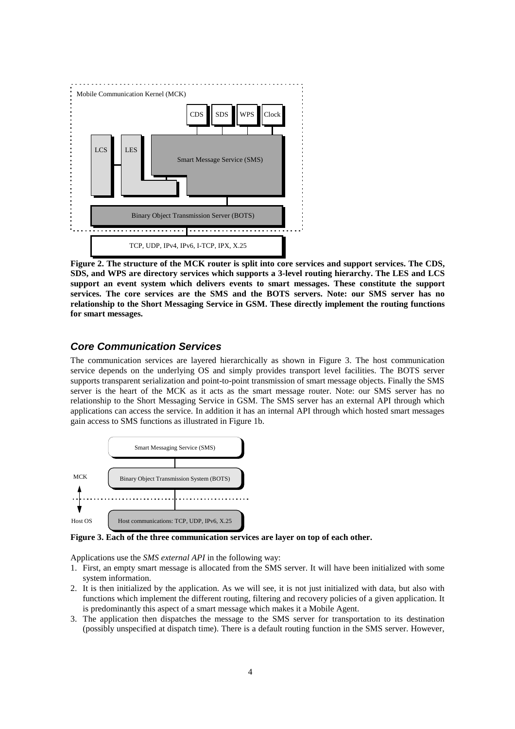

**Figure 2. The structure of the MCK router is split into core services and support services. The CDS, SDS, and WPS are directory services which supports a 3-level routing hierarchy. The LES and LCS support an event system which delivers events to smart messages. These constitute the support services. The core services are the SMS and the BOTS servers. Note: our SMS server has no relationship to the Short Messaging Service in GSM. These directly implement the routing functions for smart messages.**

### *Core Communication Services*

The communication services are layered hierarchically as shown in Figure 3. The host communication service depends on the underlying OS and simply provides transport level facilities. The BOTS server supports transparent serialization and point-to-point transmission of smart message objects. Finally the SMS server is the heart of the MCK as it acts as the smart message router. Note: our SMS server has no relationship to the Short Messaging Service in GSM. The SMS server has an external API through which applications can access the service. In addition it has an internal API through which hosted smart messages gain access to SMS functions as illustrated in Figure 1b.



**Figure 3. Each of the three communication services are layer on top of each other.**

Applications use the *SMS external API* in the following way:

- 1. First, an empty smart message is allocated from the SMS server. It will have been initialized with some system information.
- 2. It is then initialized by the application. As we will see, it is not just initialized with data, but also with functions which implement the different routing, filtering and recovery policies of a given application. It is predominantly this aspect of a smart message which makes it a Mobile Agent.
- 3. The application then dispatches the message to the SMS server for transportation to its destination (possibly unspecified at dispatch time). There is a default routing function in the SMS server. However,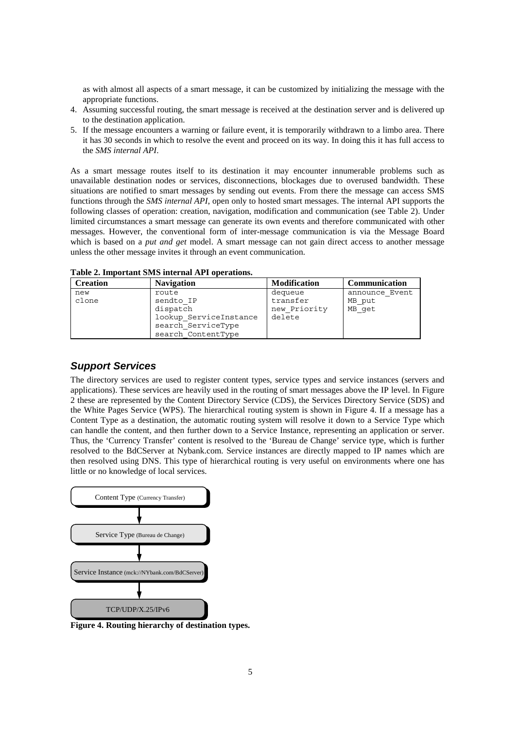as with almost all aspects of a smart message, it can be customized by initializing the message with the appropriate functions.

- 4. Assuming successful routing, the smart message is received at the destination server and is delivered up to the destination application.
- 5. If the message encounters a warning or failure event, it is temporarily withdrawn to a limbo area. There it has 30 seconds in which to resolve the event and proceed on its way. In doing this it has full access to the *SMS internal API*.

As a smart message routes itself to its destination it may encounter innumerable problems such as unavailable destination nodes or services, disconnections, blockages due to overused bandwidth. These situations are notified to smart messages by sending out events. From there the message can access SMS functions through the *SMS internal API*, open only to hosted smart messages. The internal API supports the following classes of operation: creation, navigation, modification and communication (see Table 2). Under limited circumstances a smart message can generate its own events and therefore communicated with other messages. However, the conventional form of inter-message communication is via the Message Board which is based on a *put and get* model. A smart message can not gain direct access to another message unless the other message invites it through an event communication.

| <b>Creation</b> | <b>Navigation</b>                                                                           | <b>Modification</b>                | <b>Communication</b> |
|-----------------|---------------------------------------------------------------------------------------------|------------------------------------|----------------------|
| new             | route                                                                                       | dequeue                            | announce Event       |
| clone           | sendto IP<br>dispatch<br>lookup ServiceInstance<br>search ServiceType<br>search ContentType | transfer<br>new Priority<br>delete | MB put<br>MB get     |

**Table 2. Important SMS internal API operations.**

### *Support Services*

The directory services are used to register content types, service types and service instances (servers and applications). These services are heavily used in the routing of smart messages above the IP level. In Figure 2 these are represented by the Content Directory Service (CDS), the Services Directory Service (SDS) and the White Pages Service (WPS). The hierarchical routing system is shown in Figure 4. If a message has a Content Type as a destination, the automatic routing system will resolve it down to a Service Type which can handle the content, and then further down to a Service Instance, representing an application or server. Thus, the 'Currency Transfer' content is resolved to the 'Bureau de Change' service type, which is further resolved to the BdCServer at Nybank.com. Service instances are directly mapped to IP names which are then resolved using DNS. This type of hierarchical routing is very useful on environments where one has little or no knowledge of local services.



**Figure 4. Routing hierarchy of destination types.**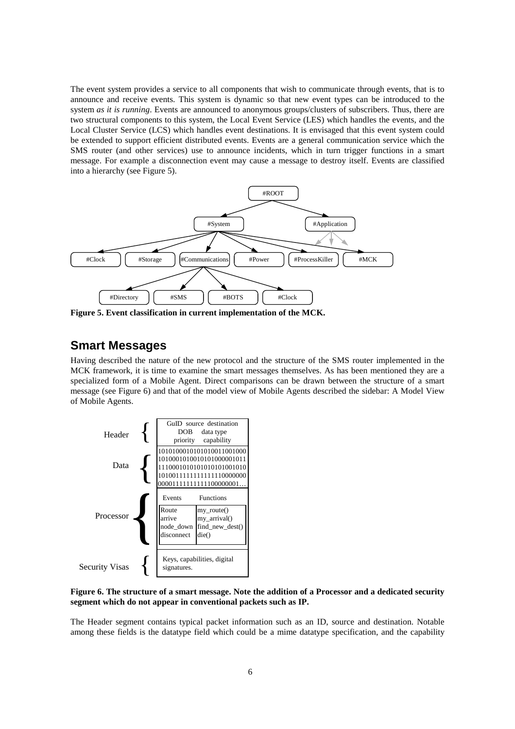The event system provides a service to all components that wish to communicate through events, that is to announce and receive events. This system is dynamic so that new event types can be introduced to the system *as it is running*. Events are announced to anonymous groups/clusters of subscribers. Thus, there are two structural components to this system, the Local Event Service (LES) which handles the events, and the Local Cluster Service (LCS) which handles event destinations. It is envisaged that this event system could be extended to support efficient distributed events. Events are a general communication service which the SMS router (and other services) use to announce incidents, which in turn trigger functions in a smart message. For example a disconnection event may cause a message to destroy itself. Events are classified into a hierarchy (see Figure 5).



**Figure 5. Event classification in current implementation of the MCK.**

# **Smart Messages**

Having described the nature of the new protocol and the structure of the SMS router implemented in the MCK framework, it is time to examine the smart messages themselves. As has been mentioned they are a specialized form of a Mobile Agent. Direct comparisons can be drawn between the structure of a smart message (see Figure 6) and that of the model view of Mobile Agents described the sidebar: A Model View of Mobile Agents.



### **Figure 6. The structure of a smart message. Note the addition of a Processor and a dedicated security segment which do not appear in conventional packets such as IP.**

The Header segment contains typical packet information such as an ID, source and destination. Notable among these fields is the datatype field which could be a mime datatype specification, and the capability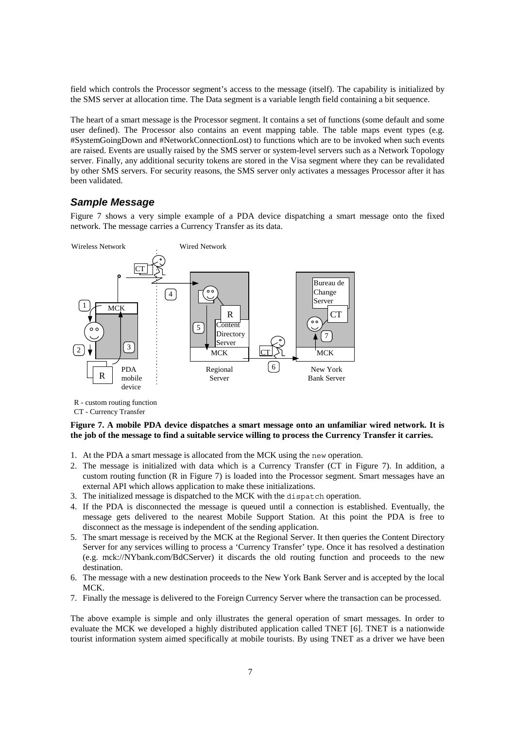field which controls the Processor segment's access to the message (itself). The capability is initialized by the SMS server at allocation time. The Data segment is a variable length field containing a bit sequence.

The heart of a smart message is the Processor segment. It contains a set of functions (some default and some user defined). The Processor also contains an event mapping table. The table maps event types (e.g. #SystemGoingDown and #NetworkConnectionLost) to functions which are to be invoked when such events are raised. Events are usually raised by the SMS server or system-level servers such as a Network Topology server. Finally, any additional security tokens are stored in the Visa segment where they can be revalidated by other SMS servers. For security reasons, the SMS server only activates a messages Processor after it has been validated.

### *Sample Message*

Figure 7 shows a very simple example of a PDA device dispatching a smart message onto the fixed network. The message carries a Currency Transfer as its data.



R - custom routing function

CT - Currency Transfer

**Figure 7. A mobile PDA device dispatches a smart message onto an unfamiliar wired network. It is the job of the message to find a suitable service willing to process the Currency Transfer it carries.**

- 1. At the PDA a smart message is allocated from the MCK using the new operation.
- 2. The message is initialized with data which is a Currency Transfer (CT in Figure 7). In addition, a custom routing function (R in Figure 7) is loaded into the Processor segment. Smart messages have an external API which allows application to make these initializations.
- 3. The initialized message is dispatched to the MCK with the dispatch operation.
- 4. If the PDA is disconnected the message is queued until a connection is established. Eventually, the message gets delivered to the nearest Mobile Support Station. At this point the PDA is free to disconnect as the message is independent of the sending application.
- 5. The smart message is received by the MCK at the Regional Server. It then queries the Content Directory Server for any services willing to process a 'Currency Transfer' type. Once it has resolved a destination (e.g. mck://NYbank.com/BdCServer) it discards the old routing function and proceeds to the new destination.
- 6. The message with a new destination proceeds to the New York Bank Server and is accepted by the local MCK.
- 7. Finally the message is delivered to the Foreign Currency Server where the transaction can be processed.

The above example is simple and only illustrates the general operation of smart messages. In order to evaluate the MCK we developed a highly distributed application called TNET [6]. TNET is a nationwide tourist information system aimed specifically at mobile tourists. By using TNET as a driver we have been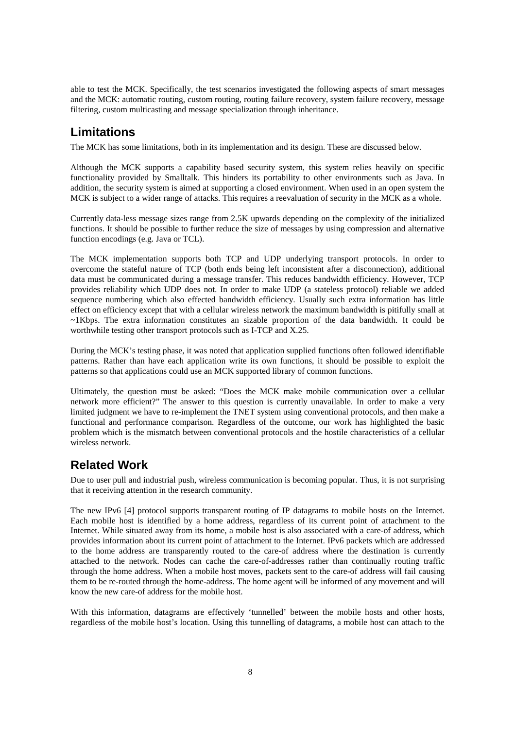able to test the MCK. Specifically, the test scenarios investigated the following aspects of smart messages and the MCK: automatic routing, custom routing, routing failure recovery, system failure recovery, message filtering, custom multicasting and message specialization through inheritance.

# **Limitations**

The MCK has some limitations, both in its implementation and its design. These are discussed below.

Although the MCK supports a capability based security system, this system relies heavily on specific functionality provided by Smalltalk. This hinders its portability to other environments such as Java. In addition, the security system is aimed at supporting a closed environment. When used in an open system the MCK is subject to a wider range of attacks. This requires a reevaluation of security in the MCK as a whole.

Currently data-less message sizes range from 2.5K upwards depending on the complexity of the initialized functions. It should be possible to further reduce the size of messages by using compression and alternative function encodings (e.g. Java or TCL).

The MCK implementation supports both TCP and UDP underlying transport protocols. In order to overcome the stateful nature of TCP (both ends being left inconsistent after a disconnection), additional data must be communicated during a message transfer. This reduces bandwidth efficiency. However, TCP provides reliability which UDP does not. In order to make UDP (a stateless protocol) reliable we added sequence numbering which also effected bandwidth efficiency. Usually such extra information has little effect on efficiency except that with a cellular wireless network the maximum bandwidth is pitifully small at ~1Kbps. The extra information constitutes an sizable proportion of the data bandwidth. It could be worthwhile testing other transport protocols such as I-TCP and X.25.

During the MCK's testing phase, it was noted that application supplied functions often followed identifiable patterns. Rather than have each application write its own functions, it should be possible to exploit the patterns so that applications could use an MCK supported library of common functions.

Ultimately, the question must be asked: "Does the MCK make mobile communication over a cellular network more efficient?" The answer to this question is currently unavailable. In order to make a very limited judgment we have to re-implement the TNET system using conventional protocols, and then make a functional and performance comparison. Regardless of the outcome, our work has highlighted the basic problem which is the mismatch between conventional protocols and the hostile characteristics of a cellular wireless network.

# **Related Work**

Due to user pull and industrial push, wireless communication is becoming popular. Thus, it is not surprising that it receiving attention in the research community.

The new IPv6 [4] protocol supports transparent routing of IP datagrams to mobile hosts on the Internet. Each mobile host is identified by a home address, regardless of its current point of attachment to the Internet. While situated away from its home, a mobile host is also associated with a care-of address, which provides information about its current point of attachment to the Internet. IPv6 packets which are addressed to the home address are transparently routed to the care-of address where the destination is currently attached to the network. Nodes can cache the care-of-addresses rather than continually routing traffic through the home address. When a mobile host moves, packets sent to the care-of address will fail causing them to be re-routed through the home-address. The home agent will be informed of any movement and will know the new care-of address for the mobile host.

With this information, datagrams are effectively 'tunnelled' between the mobile hosts and other hosts, regardless of the mobile host's location. Using this tunnelling of datagrams, a mobile host can attach to the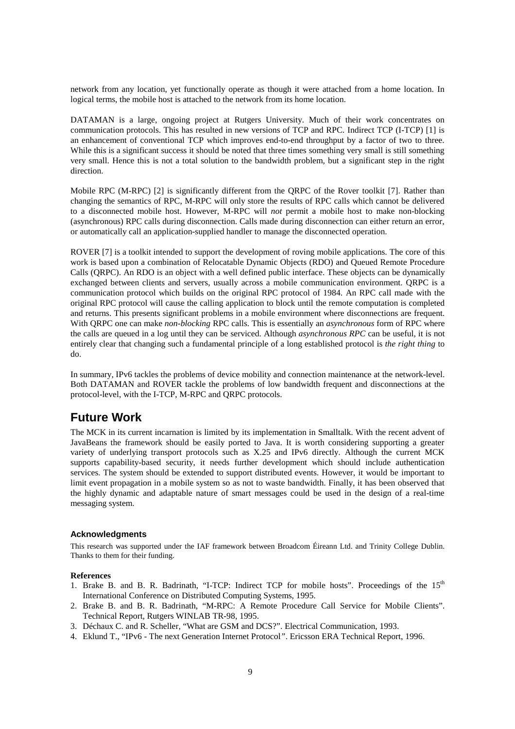network from any location, yet functionally operate as though it were attached from a home location. In logical terms, the mobile host is attached to the network from its home location.

DATAMAN is a large, ongoing project at Rutgers University. Much of their work concentrates on communication protocols. This has resulted in new versions of TCP and RPC. Indirect TCP (I-TCP) [1] is an enhancement of conventional TCP which improves end-to-end throughput by a factor of two to three. While this is a significant success it should be noted that three times something very small is still something very small. Hence this is not a total solution to the bandwidth problem, but a significant step in the right direction.

Mobile RPC (M-RPC) [2] is significantly different from the QRPC of the Rover toolkit [7]. Rather than changing the semantics of RPC, M-RPC will only store the results of RPC calls which cannot be delivered to a disconnected mobile host. However, M-RPC will *not* permit a mobile host to make non-blocking (asynchronous) RPC calls during disconnection. Calls made during disconnection can either return an error, or automatically call an application-supplied handler to manage the disconnected operation.

ROVER [7] is a toolkit intended to support the development of roving mobile applications. The core of this work is based upon a combination of Relocatable Dynamic Objects (RDO) and Queued Remote Procedure Calls (QRPC). An RDO is an object with a well defined public interface. These objects can be dynamically exchanged between clients and servers, usually across a mobile communication environment. QRPC is a communication protocol which builds on the original RPC protocol of 1984. An RPC call made with the original RPC protocol will cause the calling application to block until the remote computation is completed and returns. This presents significant problems in a mobile environment where disconnections are frequent. With QRPC one can make *non-blocking* RPC calls. This is essentially an *asynchronous* form of RPC where the calls are queued in a log until they can be serviced. Although *asynchronous RPC* can be useful, it is not entirely clear that changing such a fundamental principle of a long established protocol is *the right thing* to do.

In summary, IPv6 tackles the problems of device mobility and connection maintenance at the network-level. Both DATAMAN and ROVER tackle the problems of low bandwidth frequent and disconnections at the protocol-level, with the I-TCP, M-RPC and QRPC protocols.

# **Future Work**

The MCK in its current incarnation is limited by its implementation in Smalltalk. With the recent advent of JavaBeans the framework should be easily ported to Java. It is worth considering supporting a greater variety of underlying transport protocols such as X.25 and IPv6 directly. Although the current MCK supports capability-based security, it needs further development which should include authentication services. The system should be extended to support distributed events. However, it would be important to limit event propagation in a mobile system so as not to waste bandwidth. Finally, it has been observed that the highly dynamic and adaptable nature of smart messages could be used in the design of a real-time messaging system.

### **Acknowledgments**

This research was supported under the IAF framework between Broadcom Éireann Ltd. and Trinity College Dublin. Thanks to them for their funding.

### **References**

- 1. Brake B. and B. R. Badrinath, "I-TCP: Indirect TCP for mobile hosts". Proceedings of the 15<sup>th</sup> International Conference on Distributed Computing Systems, 1995.
- 2. Brake B. and B. R. Badrinath, "M-RPC: A Remote Procedure Call Service for Mobile Clients". Technical Report, Rutgers WINLAB TR-98, 1995.
- 3. Déchaux C. and R. Scheller, "What are GSM and DCS?". Electrical Communication, 1993.
- 4. Eklund T., "IPv6 The next Generation Internet Protocol*"*. Ericsson ERA Technical Report, 1996.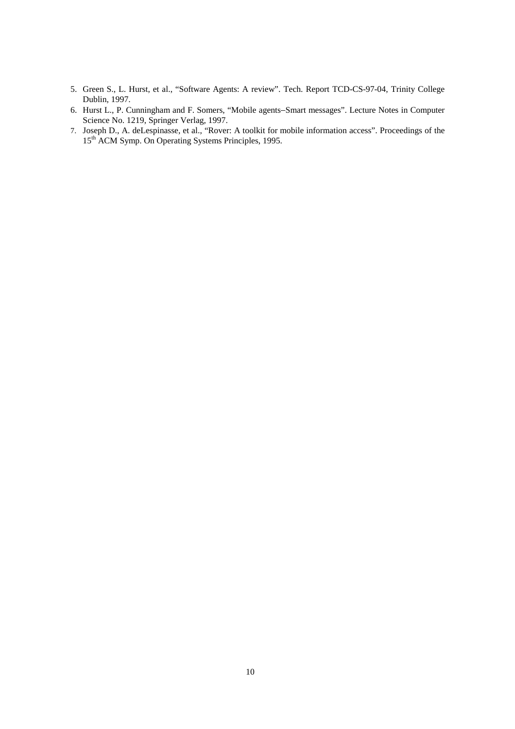- 5. Green S., L. Hurst, et al., "Software Agents: A review". Tech. Report TCD-CS-97-04, Trinity College Dublin, 1997.
- 6. Hurst L., P. Cunningham and F. Somers, "Mobile agents−Smart messages". Lecture Notes in Computer Science No. 1219, Springer Verlag, 1997.
- 7. Joseph D., A. deLespinasse, et al., "Rover: A toolkit for mobile information access". Proceedings of the 15<sup>th</sup> ACM Symp. On Operating Systems Principles, 1995.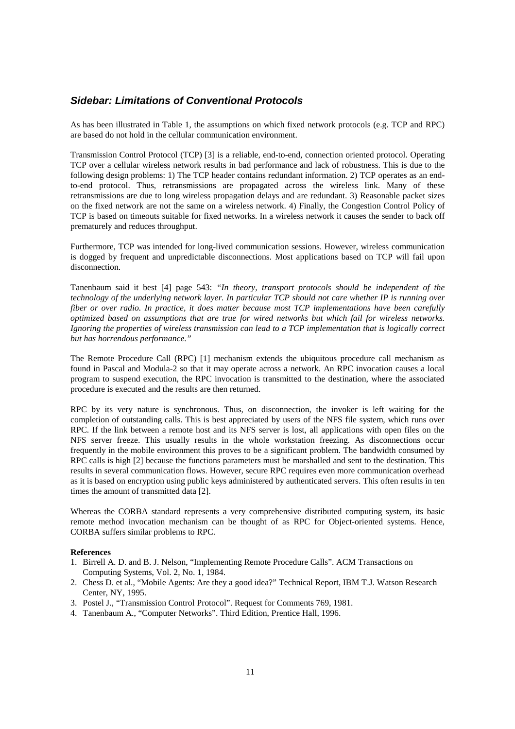## *Sidebar: Limitations of Conventional Protocols*

As has been illustrated in Table 1, the assumptions on which fixed network protocols (e.g. TCP and RPC) are based do not hold in the cellular communication environment.

Transmission Control Protocol (TCP) [3] is a reliable, end-to-end, connection oriented protocol. Operating TCP over a cellular wireless network results in bad performance and lack of robustness. This is due to the following design problems: 1) The TCP header contains redundant information. 2) TCP operates as an endto-end protocol. Thus, retransmissions are propagated across the wireless link. Many of these retransmissions are due to long wireless propagation delays and are redundant. 3) Reasonable packet sizes on the fixed network are not the same on a wireless network. 4) Finally, the Congestion Control Policy of TCP is based on timeouts suitable for fixed networks. In a wireless network it causes the sender to back off prematurely and reduces throughput.

Furthermore, TCP was intended for long-lived communication sessions. However, wireless communication is dogged by frequent and unpredictable disconnections. Most applications based on TCP will fail upon disconnection.

Tanenbaum said it best [4] page 543: *"In theory, transport protocols should be independent of the technology of the underlying network layer. In particular TCP should not care whether IP is running over fiber or over radio. In practice, it does matter because most TCP implementations have been carefully optimized based on assumptions that are true for wired networks but which fail for wireless networks. Ignoring the properties of wireless transmission can lead to a TCP implementation that is logically correct but has horrendous performance."*

The Remote Procedure Call (RPC) [1] mechanism extends the ubiquitous procedure call mechanism as found in Pascal and Modula-2 so that it may operate across a network. An RPC invocation causes a local program to suspend execution, the RPC invocation is transmitted to the destination, where the associated procedure is executed and the results are then returned.

RPC by its very nature is synchronous. Thus, on disconnection, the invoker is left waiting for the completion of outstanding calls. This is best appreciated by users of the NFS file system, which runs over RPC. If the link between a remote host and its NFS server is lost, all applications with open files on the NFS server freeze. This usually results in the whole workstation freezing. As disconnections occur frequently in the mobile environment this proves to be a significant problem. The bandwidth consumed by RPC calls is high [2] because the functions parameters must be marshalled and sent to the destination. This results in several communication flows. However, secure RPC requires even more communication overhead as it is based on encryption using public keys administered by authenticated servers. This often results in ten times the amount of transmitted data [2].

Whereas the CORBA standard represents a very comprehensive distributed computing system, its basic remote method invocation mechanism can be thought of as RPC for Object-oriented systems. Hence, CORBA suffers similar problems to RPC.

### **References**

- 1. Birrell A. D. and B. J. Nelson, "Implementing Remote Procedure Calls". ACM Transactions on Computing Systems, Vol. 2, No. 1, 1984.
- 2. Chess D. et al., "Mobile Agents: Are they a good idea?" Technical Report, IBM T.J. Watson Research Center, NY, 1995.
- 3. Postel J., "Transmission Control Protocol". Request for Comments 769, 1981.
- 4. Tanenbaum A., "Computer Networks". Third Edition, Prentice Hall, 1996.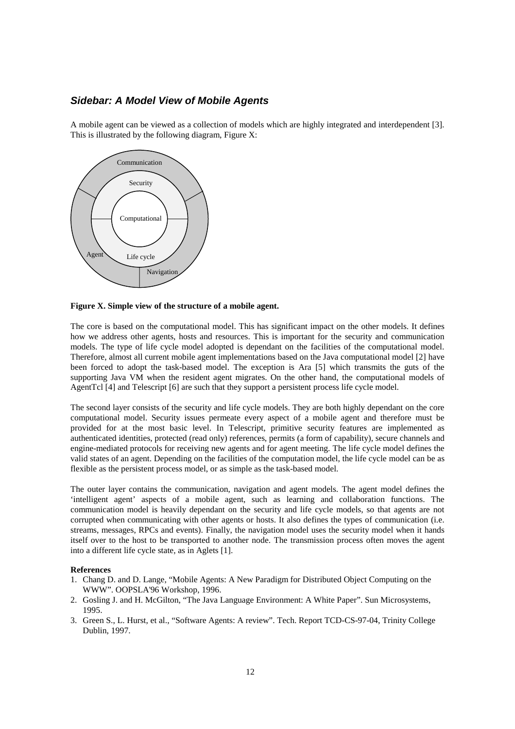## *Sidebar: A Model View of Mobile Agents*

A mobile agent can be viewed as a collection of models which are highly integrated and interdependent [3]. This is illustrated by the following diagram, Figure X:



#### **Figure X. Simple view of the structure of a mobile agent.**

The core is based on the computational model. This has significant impact on the other models. It defines how we address other agents, hosts and resources. This is important for the security and communication models. The type of life cycle model adopted is dependant on the facilities of the computational model. Therefore, almost all current mobile agent implementations based on the Java computational model [2] have been forced to adopt the task-based model. The exception is Ara [5] which transmits the guts of the supporting Java VM when the resident agent migrates. On the other hand, the computational models of AgentTcl [4] and Telescript [6] are such that they support a persistent process life cycle model.

The second layer consists of the security and life cycle models. They are both highly dependant on the core computational model. Security issues permeate every aspect of a mobile agent and therefore must be provided for at the most basic level. In Telescript, primitive security features are implemented as authenticated identities, protected (read only) references, permits (a form of capability), secure channels and engine-mediated protocols for receiving new agents and for agent meeting. The life cycle model defines the valid states of an agent. Depending on the facilities of the computation model, the life cycle model can be as flexible as the persistent process model, or as simple as the task-based model.

The outer layer contains the communication, navigation and agent models. The agent model defines the 'intelligent agent' aspects of a mobile agent, such as learning and collaboration functions. The communication model is heavily dependant on the security and life cycle models, so that agents are not corrupted when communicating with other agents or hosts. It also defines the types of communication (i.e. streams, messages, RPCs and events). Finally, the navigation model uses the security model when it hands itself over to the host to be transported to another node. The transmission process often moves the agent into a different life cycle state, as in Aglets [1].

#### **References**

- 1. Chang D. and D. Lange, "Mobile Agents: A New Paradigm for Distributed Object Computing on the WWW". OOPSLA'96 Workshop, 1996.
- 2. Gosling J. and H. McGilton, "The Java Language Environment: A White Paper". Sun Microsystems, 1995.
- 3. Green S., L. Hurst, et al., "Software Agents: A review". Tech. Report TCD-CS-97-04, Trinity College Dublin, 1997.